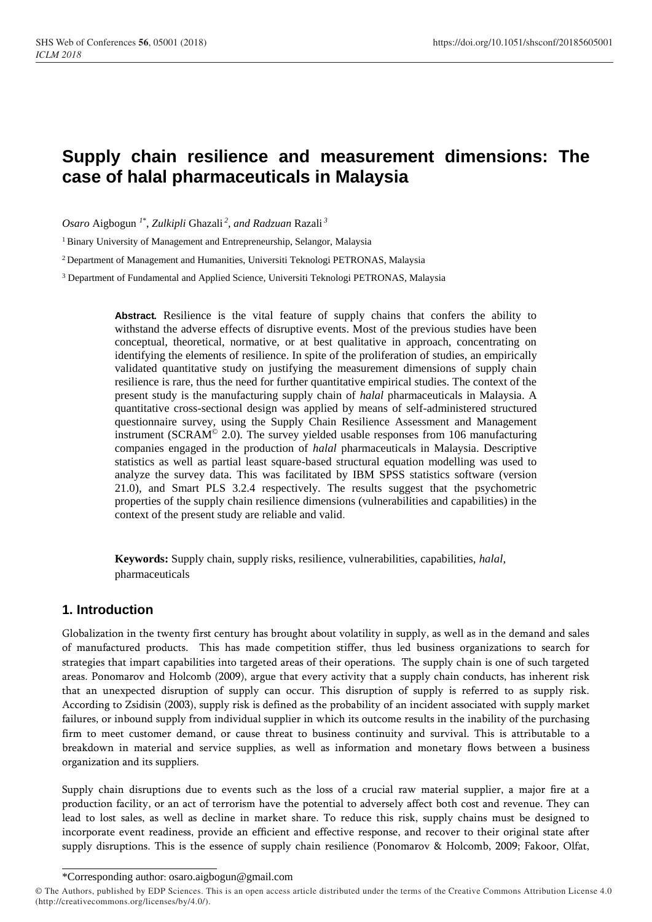# **Supply chain resilience and measurement dimensions: The case of halal pharmaceuticals in Malaysia**

*Osaro* Aigbogun *<sup>1</sup>*\* , *Zulkipli* Ghazali *<sup>2</sup> , and Radzuan* Razali *<sup>3</sup>*

<sup>1</sup> Binary University of Management and Entrepreneurship, Selangor, Malaysia

<sup>2</sup> Department of Management and Humanities, Universiti Teknologi PETRONAS, Malaysia

<sup>3</sup> Department of Fundamental and Applied Science, Universiti Teknologi PETRONAS, Malaysia

**Abstract***.* Resilience is the vital feature of supply chains that confers the ability to withstand the adverse effects of disruptive events. Most of the previous studies have been conceptual, theoretical, normative, or at best qualitative in approach, concentrating on identifying the elements of resilience. In spite of the proliferation of studies, an empirically validated quantitative study on justifying the measurement dimensions of supply chain resilience is rare, thus the need for further quantitative empirical studies. The context of the present study is the manufacturing supply chain of *halal* pharmaceuticals in Malaysia. A quantitative cross-sectional design was applied by means of self-administered structured questionnaire survey, using the Supply Chain Resilience Assessment and Management instrument (SCRAM $^{\circ}$  2.0). The survey yielded usable responses from 106 manufacturing companies engaged in the production of *halal* pharmaceuticals in Malaysia. Descriptive statistics as well as partial least square-based structural equation modelling was used to analyze the survey data. This was facilitated by IBM SPSS statistics software (version 21.0), and Smart PLS 3.2.4 respectively. The results suggest that the psychometric properties of the supply chain resilience dimensions (vulnerabilities and capabilities) in the context of the present study are reliable and valid.

**Keywords:** Supply chain, supply risks, resilience, vulnerabilities, capabilities, *halal*, pharmaceuticals

## **1. Introduction**

Globalization in the twenty first century has brought about volatility in supply, as well as in the demand and sales of manufactured products. This has made competition stiffer, thus led business organizations to search for strategies that impart capabilities into targeted areas of their operations. The supply chain is one of such targeted areas. Ponomarov and Holcomb (2009), argue that every activity that a supply chain conducts, has inherent risk that an unexpected disruption of supply can occur. This disruption of supply is referred to as supply risk. According to Zsidisin (2003), supply risk is defined as the probability of an incident associated with supply market failures, or inbound supply from individual supplier in which its outcome results in the inability of the purchasing firm to meet customer demand, or cause threat to business continuity and survival. This is attributable to a breakdown in material and service supplies, as well as information and monetary flows between a business organization and its suppliers.

Supply chain disruptions due to events such as the loss of a crucial raw material supplier, a major fire at a production facility, or an act of terrorism have the potential to adversely affect both cost and revenue. They can lead to lost sales, as well as decline in market share. To reduce this risk, supply chains must be designed to incorporate event readiness, provide an efficient and effective response, and recover to their original state after supply disruptions. This is the essence of supply chain resilience (Ponomarov & Holcomb, 2009; Fakoor, Olfat,

<sup>\*</sup>Corresponding author: osaro.aigbogun@gmail.com

<sup>©</sup> The Authors, published by EDP Sciences. This is an open access article distributed under the terms of the Creative Commons Attribution License 4.0 (http://creativecommons.org/licenses/by/4.0/).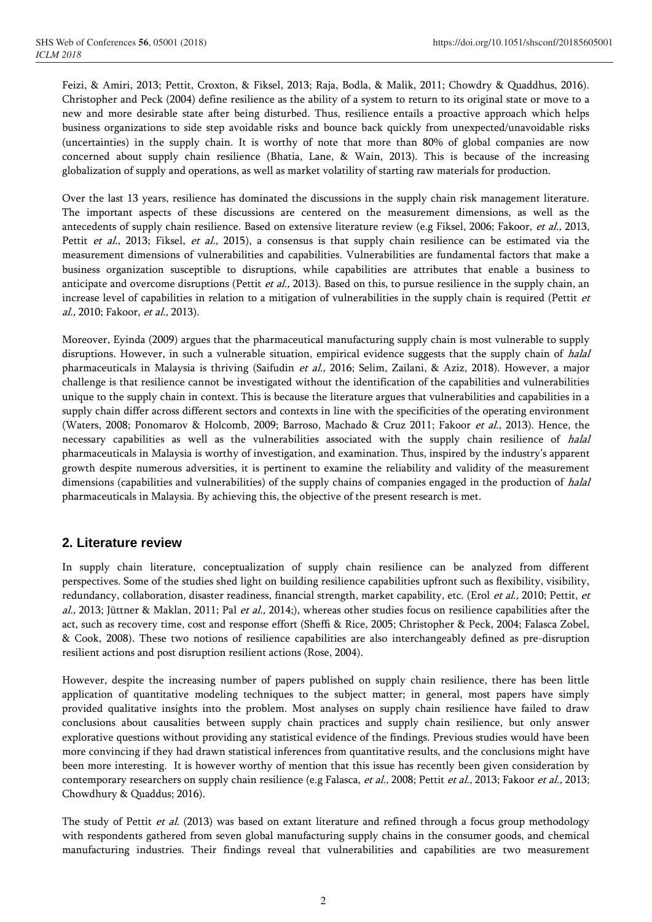Feizi, & Amiri, 2013; Pettit, Croxton, & Fiksel, 2013; Raja, Bodla, & Malik, 2011; Chowdry & Quaddhus, 2016). Christopher and Peck (2004) define resilience as the ability of a system to return to its original state or move to a new and more desirable state after being disturbed. Thus, resilience entails a proactive approach which helps business organizations to side step avoidable risks and bounce back quickly from unexpected/unavoidable risks (uncertainties) in the supply chain. It is worthy of note that more than 80% of global companies are now concerned about supply chain resilience (Bhatia, Lane, & Wain, 2013). This is because of the increasing globalization of supply and operations, as well as market volatility of starting raw materials for production.

Over the last 13 years, resilience has dominated the discussions in the supply chain risk management literature. The important aspects of these discussions are centered on the measurement dimensions, as well as the antecedents of supply chain resilience. Based on extensive literature review (e.g Fiksel, 2006; Fakoor, et al., 2013, Pettit et al., 2013; Fiksel, et al., 2015), a consensus is that supply chain resilience can be estimated via the measurement dimensions of vulnerabilities and capabilities. Vulnerabilities are fundamental factors that make a business organization susceptible to disruptions, while capabilities are attributes that enable a business to anticipate and overcome disruptions (Pettit *et al.*, 2013). Based on this, to pursue resilience in the supply chain, an increase level of capabilities in relation to a mitigation of vulnerabilities in the supply chain is required (Pettit  $et$ al., 2010; Fakoor, et al., 2013).

Moreover, Eyinda (2009) argues that the pharmaceutical manufacturing supply chain is most vulnerable to supply disruptions. However, in such a vulnerable situation, empirical evidence suggests that the supply chain of halal pharmaceuticals in Malaysia is thriving (Saifudin et al., 2016; Selim, Zailani, & Aziz, 2018). However, a major challenge is that resilience cannot be investigated without the identification of the capabilities and vulnerabilities unique to the supply chain in context. This is because the literature argues that vulnerabilities and capabilities in a supply chain differ across different sectors and contexts in line with the specificities of the operating environment (Waters, 2008; Ponomarov & Holcomb, 2009; Barroso, Machado & Cruz 2011; Fakoor et al., 2013). Hence, the necessary capabilities as well as the vulnerabilities associated with the supply chain resilience of halal pharmaceuticals in Malaysia is worthy of investigation, and examination. Thus, inspired by the industry's apparent growth despite numerous adversities, it is pertinent to examine the reliability and validity of the measurement dimensions (capabilities and vulnerabilities) of the supply chains of companies engaged in the production of halal pharmaceuticals in Malaysia. By achieving this, the objective of the present research is met.

## **2. Literature review**

In supply chain literature, conceptualization of supply chain resilience can be analyzed from different perspectives. Some of the studies shed light on building resilience capabilities upfront such as flexibility, visibility, redundancy, collaboration, disaster readiness, financial strength, market capability, etc. (Erol et al., 2010; Pettit, et al., 2013; Jüttner & Maklan, 2011; Pal et al., 2014;), whereas other studies focus on resilience capabilities after the act, such as recovery time, cost and response effort (Sheffi & Rice, 2005; Christopher & Peck, 2004; Falasca Zobel, & Cook, 2008). These two notions of resilience capabilities are also interchangeably defined as pre-disruption resilient actions and post disruption resilient actions (Rose, 2004).

However, despite the increasing number of papers published on supply chain resilience, there has been little application of quantitative modeling techniques to the subject matter; in general, most papers have simply provided qualitative insights into the problem. Most analyses on supply chain resilience have failed to draw conclusions about causalities between supply chain practices and supply chain resilience, but only answer explorative questions without providing any statistical evidence of the findings. Previous studies would have been more convincing if they had drawn statistical inferences from quantitative results, and the conclusions might have been more interesting. It is however worthy of mention that this issue has recently been given consideration by contemporary researchers on supply chain resilience (e.g Falasca, et al., 2008; Pettit et al., 2013; Fakoor et al., 2013; Chowdhury & Quaddus; 2016).

The study of Pettit et al. (2013) was based on extant literature and refined through a focus group methodology with respondents gathered from seven global manufacturing supply chains in the consumer goods, and chemical manufacturing industries. Their findings reveal that vulnerabilities and capabilities are two measurement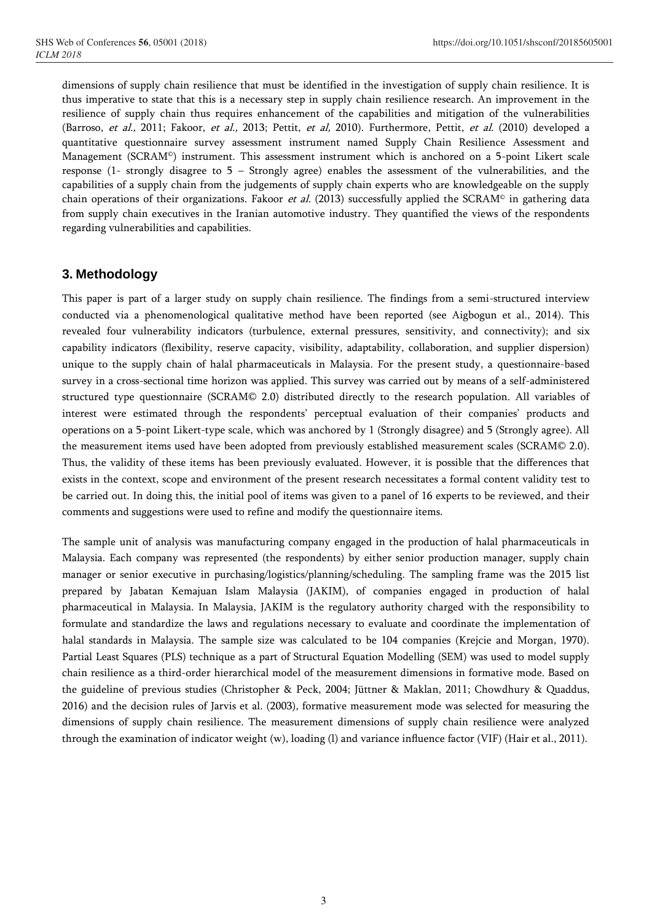dimensions of supply chain resilience that must be identified in the investigation of supply chain resilience. It is thus imperative to state that this is a necessary step in supply chain resilience research. An improvement in the resilience of supply chain thus requires enhancement of the capabilities and mitigation of the vulnerabilities (Barroso, et al., 2011; Fakoor, et al., 2013; Pettit, et al, 2010). Furthermore, Pettit, et al. (2010) developed a quantitative questionnaire survey assessment instrument named Supply Chain Resilience Assessment and Management (SCRAM©) instrument. This assessment instrument which is anchored on a 5-point Likert scale response (1- strongly disagree to 5 – Strongly agree) enables the assessment of the vulnerabilities, and the capabilities of a supply chain from the judgements of supply chain experts who are knowledgeable on the supply chain operations of their organizations. Fakoor et al. (2013) successfully applied the SCRAM<sup>®</sup> in gathering data from supply chain executives in the Iranian automotive industry. They quantified the views of the respondents regarding vulnerabilities and capabilities.

## **3. Methodology**

This paper is part of a larger study on supply chain resilience. The findings from a semi-structured interview conducted via a phenomenological qualitative method have been reported (see Aigbogun et al., 2014). This revealed four vulnerability indicators (turbulence, external pressures, sensitivity, and connectivity); and six capability indicators (flexibility, reserve capacity, visibility, adaptability, collaboration, and supplier dispersion) unique to the supply chain of halal pharmaceuticals in Malaysia. For the present study, a questionnaire-based survey in a cross-sectional time horizon was applied. This survey was carried out by means of a self-administered structured type questionnaire (SCRAM© 2.0) distributed directly to the research population. All variables of interest were estimated through the respondents' perceptual evaluation of their companies' products and operations on a 5-point Likert-type scale, which was anchored by 1 (Strongly disagree) and 5 (Strongly agree). All the measurement items used have been adopted from previously established measurement scales (SCRAM© 2.0). Thus, the validity of these items has been previously evaluated. However, it is possible that the differences that exists in the context, scope and environment of the present research necessitates a formal content validity test to be carried out. In doing this, the initial pool of items was given to a panel of 16 experts to be reviewed, and their comments and suggestions were used to refine and modify the questionnaire items.

The sample unit of analysis was manufacturing company engaged in the production of halal pharmaceuticals in Malaysia. Each company was represented (the respondents) by either senior production manager, supply chain manager or senior executive in purchasing/logistics/planning/scheduling. The sampling frame was the 2015 list prepared by Jabatan Kemajuan Islam Malaysia (JAKIM), of companies engaged in production of halal pharmaceutical in Malaysia. In Malaysia, JAKIM is the regulatory authority charged with the responsibility to formulate and standardize the laws and regulations necessary to evaluate and coordinate the implementation of halal standards in Malaysia. The sample size was calculated to be 104 companies (Krejcie and Morgan, 1970). Partial Least Squares (PLS) technique as a part of Structural Equation Modelling (SEM) was used to model supply chain resilience as a third-order hierarchical model of the measurement dimensions in formative mode. Based on the guideline of previous studies (Christopher & Peck, 2004; Jüttner & Maklan, 2011; Chowdhury & Quaddus, 2016) and the decision rules of Jarvis et al. (2003), formative measurement mode was selected for measuring the dimensions of supply chain resilience. The measurement dimensions of supply chain resilience were analyzed through the examination of indicator weight (w), loading (l) and variance influence factor (VIF) (Hair et al., 2011).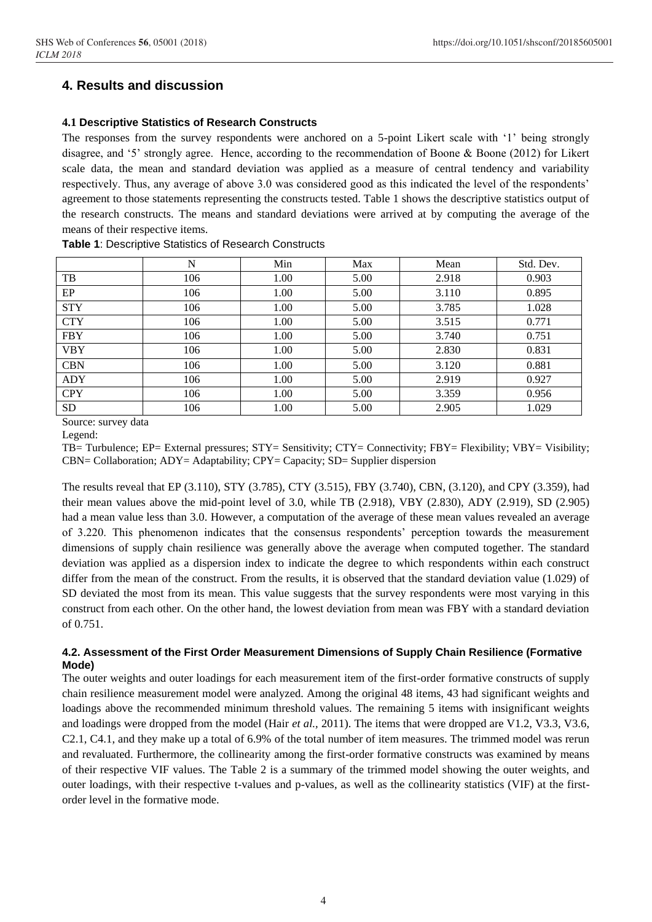# **4. Results and discussion**

#### **4.1 Descriptive Statistics of Research Constructs**

The responses from the survey respondents were anchored on a 5-point Likert scale with '1' being strongly disagree, and '5' strongly agree. Hence, according to the recommendation of Boone & Boone (2012) for Likert scale data, the mean and standard deviation was applied as a measure of central tendency and variability respectively. Thus, any average of above 3.0 was considered good as this indicated the level of the respondents' agreement to those statements representing the constructs tested. Table 1 shows the descriptive statistics output of the research constructs. The means and standard deviations were arrived at by computing the average of the means of their respective items.

|            | N   | Min  | Max  | Mean  | Std. Dev. |
|------------|-----|------|------|-------|-----------|
| TB         | 106 | 1.00 | 5.00 | 2.918 | 0.903     |
| EP         | 106 | 1.00 | 5.00 | 3.110 | 0.895     |
| <b>STY</b> | 106 | 1.00 | 5.00 | 3.785 | 1.028     |
| <b>CTY</b> | 106 | 1.00 | 5.00 | 3.515 | 0.771     |
| <b>FBY</b> | 106 | 1.00 | 5.00 | 3.740 | 0.751     |
| <b>VBY</b> | 106 | 1.00 | 5.00 | 2.830 | 0.831     |
| <b>CBN</b> | 106 | 1.00 | 5.00 | 3.120 | 0.881     |
| <b>ADY</b> | 106 | 1.00 | 5.00 | 2.919 | 0.927     |
| <b>CPY</b> | 106 | 1.00 | 5.00 | 3.359 | 0.956     |
| <b>SD</b>  | 106 | 1.00 | 5.00 | 2.905 | 1.029     |

**Table 1**: Descriptive Statistics of Research Constructs

Source: survey data

Legend:

TB= Turbulence; EP= External pressures; STY= Sensitivity; CTY= Connectivity; FBY= Flexibility; VBY= Visibility; CBN= Collaboration; ADY= Adaptability; CPY= Capacity; SD= Supplier dispersion

The results reveal that EP (3.110), STY (3.785), CTY (3.515), FBY (3.740), CBN, (3.120), and CPY (3.359), had their mean values above the mid-point level of 3.0, while TB (2.918), VBY (2.830), ADY (2.919), SD (2.905) had a mean value less than 3.0. However, a computation of the average of these mean values revealed an average of 3.220. This phenomenon indicates that the consensus respondents' perception towards the measurement dimensions of supply chain resilience was generally above the average when computed together. The standard deviation was applied as a dispersion index to indicate the degree to which respondents within each construct differ from the mean of the construct. From the results, it is observed that the standard deviation value (1.029) of SD deviated the most from its mean. This value suggests that the survey respondents were most varying in this construct from each other. On the other hand, the lowest deviation from mean was FBY with a standard deviation of 0.751.

#### **4.2. Assessment of the First Order Measurement Dimensions of Supply Chain Resilience (Formative Mode)**

The outer weights and outer loadings for each measurement item of the first-order formative constructs of supply chain resilience measurement model were analyzed. Among the original 48 items, 43 had significant weights and loadings above the recommended minimum threshold values. The remaining 5 items with insignificant weights and loadings were dropped from the model (Hair *et al.,* 2011). The items that were dropped are V1.2, V3.3, V3.6, C2.1, C4.1, and they make up a total of 6.9% of the total number of item measures. The trimmed model was rerun and revaluated. Furthermore, the collinearity among the first-order formative constructs was examined by means of their respective VIF values. The Table 2 is a summary of the trimmed model showing the outer weights, and outer loadings, with their respective t-values and p-values, as well as the collinearity statistics (VIF) at the firstorder level in the formative mode.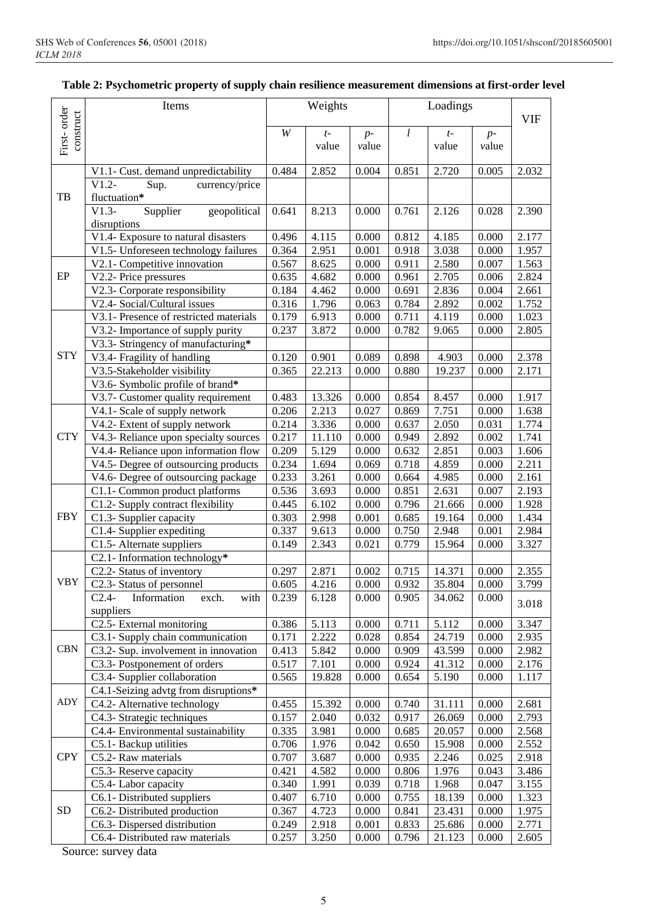| First-order<br>construct<br>l<br>W<br>$t-$<br>$t-$<br>$p-$<br>$p-$<br>value<br>value<br>value<br>value<br>0.484<br>2.852<br>0.004<br>0.851<br>2.720<br>0.005<br>V1.1- Cust. demand unpredictability<br>$V1.2-$<br>Sup.<br>currency/price<br>TB<br>fluctuation*<br>$V1.3-$<br>Supplier<br>0.761<br>geopolitical<br>0.641<br>8.213<br>0.000<br>2.126<br>0.028<br>disruptions<br>V1.4- Exposure to natural disasters<br>4.115<br>0.812<br>0.496<br>0.000<br>4.185<br>0.000<br>V1.5- Unforeseen technology failures<br>2.951<br>0.918<br>3.038<br>0.364<br>0.001<br>0.000<br>V2.1- Competitive innovation<br>0.000<br>0.911<br>2.580<br>0.567<br>8.625<br>0.007<br>$\rm EP$<br>V2.2- Price pressures<br>0.000<br>2.705<br>0.635<br>4.682<br>0.961<br>0.006<br>V2.3- Corporate responsibility<br>0.184<br>0.691<br>2.836<br>4.462<br>0.000<br>0.004<br>V2.4- Social/Cultural issues<br>0.316<br>2.892<br>1.796<br>0.784<br>0.063<br>0.002<br>V3.1- Presence of restricted materials<br>0.179<br>6.913<br>0.711<br>4.119<br>0.000<br>0.000<br>V3.2- Importance of supply purity<br>0.237<br>3.872<br>0.782<br>9.065<br>0.000<br>0.000<br>V3.3- Stringency of manufacturing* |                |
|-----------------------------------------------------------------------------------------------------------------------------------------------------------------------------------------------------------------------------------------------------------------------------------------------------------------------------------------------------------------------------------------------------------------------------------------------------------------------------------------------------------------------------------------------------------------------------------------------------------------------------------------------------------------------------------------------------------------------------------------------------------------------------------------------------------------------------------------------------------------------------------------------------------------------------------------------------------------------------------------------------------------------------------------------------------------------------------------------------------------------------------------------------------------------|----------------|
|                                                                                                                                                                                                                                                                                                                                                                                                                                                                                                                                                                                                                                                                                                                                                                                                                                                                                                                                                                                                                                                                                                                                                                       | <b>VIF</b>     |
|                                                                                                                                                                                                                                                                                                                                                                                                                                                                                                                                                                                                                                                                                                                                                                                                                                                                                                                                                                                                                                                                                                                                                                       |                |
|                                                                                                                                                                                                                                                                                                                                                                                                                                                                                                                                                                                                                                                                                                                                                                                                                                                                                                                                                                                                                                                                                                                                                                       |                |
|                                                                                                                                                                                                                                                                                                                                                                                                                                                                                                                                                                                                                                                                                                                                                                                                                                                                                                                                                                                                                                                                                                                                                                       | 2.032          |
|                                                                                                                                                                                                                                                                                                                                                                                                                                                                                                                                                                                                                                                                                                                                                                                                                                                                                                                                                                                                                                                                                                                                                                       |                |
|                                                                                                                                                                                                                                                                                                                                                                                                                                                                                                                                                                                                                                                                                                                                                                                                                                                                                                                                                                                                                                                                                                                                                                       | 2.390          |
|                                                                                                                                                                                                                                                                                                                                                                                                                                                                                                                                                                                                                                                                                                                                                                                                                                                                                                                                                                                                                                                                                                                                                                       |                |
|                                                                                                                                                                                                                                                                                                                                                                                                                                                                                                                                                                                                                                                                                                                                                                                                                                                                                                                                                                                                                                                                                                                                                                       | 2.177          |
|                                                                                                                                                                                                                                                                                                                                                                                                                                                                                                                                                                                                                                                                                                                                                                                                                                                                                                                                                                                                                                                                                                                                                                       | 1.957          |
|                                                                                                                                                                                                                                                                                                                                                                                                                                                                                                                                                                                                                                                                                                                                                                                                                                                                                                                                                                                                                                                                                                                                                                       | 1.563          |
|                                                                                                                                                                                                                                                                                                                                                                                                                                                                                                                                                                                                                                                                                                                                                                                                                                                                                                                                                                                                                                                                                                                                                                       | 2.824          |
|                                                                                                                                                                                                                                                                                                                                                                                                                                                                                                                                                                                                                                                                                                                                                                                                                                                                                                                                                                                                                                                                                                                                                                       | 2.661          |
|                                                                                                                                                                                                                                                                                                                                                                                                                                                                                                                                                                                                                                                                                                                                                                                                                                                                                                                                                                                                                                                                                                                                                                       | 1.752          |
|                                                                                                                                                                                                                                                                                                                                                                                                                                                                                                                                                                                                                                                                                                                                                                                                                                                                                                                                                                                                                                                                                                                                                                       | 1.023          |
|                                                                                                                                                                                                                                                                                                                                                                                                                                                                                                                                                                                                                                                                                                                                                                                                                                                                                                                                                                                                                                                                                                                                                                       | 2.805          |
| <b>STY</b><br>V3.4- Fragility of handling<br>0.120<br>0.901<br>0.089<br>0.898<br>4.903<br>0.000                                                                                                                                                                                                                                                                                                                                                                                                                                                                                                                                                                                                                                                                                                                                                                                                                                                                                                                                                                                                                                                                       | 2.378          |
| V3.5-Stakeholder visibility<br>0.365<br>22.213<br>0.000<br>0.880<br>19.237<br>0.000                                                                                                                                                                                                                                                                                                                                                                                                                                                                                                                                                                                                                                                                                                                                                                                                                                                                                                                                                                                                                                                                                   | 2.171          |
| V3.6- Symbolic profile of brand*                                                                                                                                                                                                                                                                                                                                                                                                                                                                                                                                                                                                                                                                                                                                                                                                                                                                                                                                                                                                                                                                                                                                      |                |
| 0.483<br>V3.7- Customer quality requirement<br>13.326<br>0.000<br>0.854<br>8.457<br>0.000                                                                                                                                                                                                                                                                                                                                                                                                                                                                                                                                                                                                                                                                                                                                                                                                                                                                                                                                                                                                                                                                             | 1.917          |
| V4.1- Scale of supply network<br>0.206<br>2.213<br>0.027<br>0.869<br>7.751<br>0.000                                                                                                                                                                                                                                                                                                                                                                                                                                                                                                                                                                                                                                                                                                                                                                                                                                                                                                                                                                                                                                                                                   | 1.638          |
| V4.2- Extent of supply network<br>0.214<br>3.336<br>0.637<br>2.050<br>0.000<br>0.031                                                                                                                                                                                                                                                                                                                                                                                                                                                                                                                                                                                                                                                                                                                                                                                                                                                                                                                                                                                                                                                                                  | 1.774          |
| <b>CTY</b><br>0.217<br>V4.3- Reliance upon specialty sources<br>11.110<br>0.000<br>0.949<br>2.892<br>0.002                                                                                                                                                                                                                                                                                                                                                                                                                                                                                                                                                                                                                                                                                                                                                                                                                                                                                                                                                                                                                                                            | 1.741          |
| V4.4- Reliance upon information flow<br>0.209<br>5.129<br>0.000<br>0.632<br>2.851<br>0.003                                                                                                                                                                                                                                                                                                                                                                                                                                                                                                                                                                                                                                                                                                                                                                                                                                                                                                                                                                                                                                                                            | 1.606          |
| V4.5- Degree of outsourcing products<br>0.234<br>0.069<br>0.718<br>4.859<br>0.000<br>1.694                                                                                                                                                                                                                                                                                                                                                                                                                                                                                                                                                                                                                                                                                                                                                                                                                                                                                                                                                                                                                                                                            | 2.211          |
| V4.6- Degree of outsourcing package<br>0.233<br>3.261<br>0.000<br>0.664<br>4.985<br>0.000                                                                                                                                                                                                                                                                                                                                                                                                                                                                                                                                                                                                                                                                                                                                                                                                                                                                                                                                                                                                                                                                             | 2.161          |
| C1.1- Common product platforms<br>0.536<br>0.851<br>2.631<br>3.693<br>0.000<br>0.007                                                                                                                                                                                                                                                                                                                                                                                                                                                                                                                                                                                                                                                                                                                                                                                                                                                                                                                                                                                                                                                                                  | 2.193          |
| 6.102<br>0.796<br>C1.2- Supply contract flexibility<br>0.445<br>0.000<br>21.666<br>0.000                                                                                                                                                                                                                                                                                                                                                                                                                                                                                                                                                                                                                                                                                                                                                                                                                                                                                                                                                                                                                                                                              | 1.928          |
| <b>FBY</b><br>C1.3- Supplier capacity<br>0.303<br>0.001<br>0.685<br>2.998<br>19.164<br>0.000                                                                                                                                                                                                                                                                                                                                                                                                                                                                                                                                                                                                                                                                                                                                                                                                                                                                                                                                                                                                                                                                          | 1.434          |
| 0.337<br>9.613<br>0.750<br>C1.4- Supplier expediting<br>0.000<br>2.948<br>0.001                                                                                                                                                                                                                                                                                                                                                                                                                                                                                                                                                                                                                                                                                                                                                                                                                                                                                                                                                                                                                                                                                       | 2.984          |
| C1.5- Alternate suppliers<br>2.343<br>0.779<br>0.149<br>0.021<br>15.964<br>0.000<br>C2.1- Information technology*                                                                                                                                                                                                                                                                                                                                                                                                                                                                                                                                                                                                                                                                                                                                                                                                                                                                                                                                                                                                                                                     | 3.327          |
| 2.871<br>0.715<br>14.371<br>C2.2- Status of inventory<br>0.297<br>0.002<br>0.000                                                                                                                                                                                                                                                                                                                                                                                                                                                                                                                                                                                                                                                                                                                                                                                                                                                                                                                                                                                                                                                                                      | 2.355          |
| <b>VBY</b><br>C2.3- Status of personnel<br>4.216<br>$0.000\,$<br>0.932<br>35.804<br>$0.000\,$<br>0.605                                                                                                                                                                                                                                                                                                                                                                                                                                                                                                                                                                                                                                                                                                                                                                                                                                                                                                                                                                                                                                                                | 3.799          |
| $\overline{C}$ 2.4- Information<br>0.239<br>6.128<br>0.000<br>exch.<br>with<br>0.000<br>0.905<br>34.062                                                                                                                                                                                                                                                                                                                                                                                                                                                                                                                                                                                                                                                                                                                                                                                                                                                                                                                                                                                                                                                               |                |
| suppliers                                                                                                                                                                                                                                                                                                                                                                                                                                                                                                                                                                                                                                                                                                                                                                                                                                                                                                                                                                                                                                                                                                                                                             | 3.018          |
| C2.5- External monitoring<br>0.386<br>5.113<br>0.711<br>5.112<br>0.000<br>0.000                                                                                                                                                                                                                                                                                                                                                                                                                                                                                                                                                                                                                                                                                                                                                                                                                                                                                                                                                                                                                                                                                       | 3.347          |
| C3.1- Supply chain communication<br>0.171<br>2.222<br>0.854<br>0.028<br>24.719<br>0.000                                                                                                                                                                                                                                                                                                                                                                                                                                                                                                                                                                                                                                                                                                                                                                                                                                                                                                                                                                                                                                                                               | 2.935          |
| CBN<br>C3.2- Sup. involvement in innovation<br>0.413<br>5.842<br>0.909<br>43.599<br>0.000<br>0.000                                                                                                                                                                                                                                                                                                                                                                                                                                                                                                                                                                                                                                                                                                                                                                                                                                                                                                                                                                                                                                                                    | 2.982          |
| 0.924<br>C3.3- Postponement of orders<br>0.517<br>7.101<br>0.000<br>41.312<br>0.000                                                                                                                                                                                                                                                                                                                                                                                                                                                                                                                                                                                                                                                                                                                                                                                                                                                                                                                                                                                                                                                                                   | 2.176          |
| C3.4- Supplier collaboration<br>0.565<br>19.828<br>0.000<br>0.654<br>5.190<br>0.000                                                                                                                                                                                                                                                                                                                                                                                                                                                                                                                                                                                                                                                                                                                                                                                                                                                                                                                                                                                                                                                                                   | 1.117          |
| C4.1-Seizing advtg from disruptions*                                                                                                                                                                                                                                                                                                                                                                                                                                                                                                                                                                                                                                                                                                                                                                                                                                                                                                                                                                                                                                                                                                                                  |                |
| ADY<br>0.740<br>C4.2- Alternative technology<br>0.455<br>15.392<br>0.000<br>31.111<br>0.000                                                                                                                                                                                                                                                                                                                                                                                                                                                                                                                                                                                                                                                                                                                                                                                                                                                                                                                                                                                                                                                                           | 2.681          |
| C4.3- Strategic techniques<br>0.157<br>2.040<br>0.032<br>0.917<br>26.069<br>0.000                                                                                                                                                                                                                                                                                                                                                                                                                                                                                                                                                                                                                                                                                                                                                                                                                                                                                                                                                                                                                                                                                     | 2.793          |
| C4.4- Environmental sustainability<br>3.981<br>0.335<br>0.000<br>0.685<br>20.057<br>0.000                                                                                                                                                                                                                                                                                                                                                                                                                                                                                                                                                                                                                                                                                                                                                                                                                                                                                                                                                                                                                                                                             | 2.568          |
| 0.706<br>1.976<br>0.042<br>0.650<br>15.908<br>0.000<br>C5.1- Backup utilities<br><b>CPY</b>                                                                                                                                                                                                                                                                                                                                                                                                                                                                                                                                                                                                                                                                                                                                                                                                                                                                                                                                                                                                                                                                           | 2.552          |
| 3.687<br>0.935<br>2.246<br>C5.2- Raw materials<br>0.707<br>0.000<br>0.025<br>4.582<br>1.976<br>0.421<br>0.000<br>0.806<br>0.043                                                                                                                                                                                                                                                                                                                                                                                                                                                                                                                                                                                                                                                                                                                                                                                                                                                                                                                                                                                                                                       | 2.918          |
| C5.3- Reserve capacity<br>0.718<br>C5.4- Labor capacity<br>0.340<br>1.991<br>0.039<br>1.968<br>0.047                                                                                                                                                                                                                                                                                                                                                                                                                                                                                                                                                                                                                                                                                                                                                                                                                                                                                                                                                                                                                                                                  | 3.486<br>3.155 |
| C6.1- Distributed suppliers<br>0.407<br>6.710<br>0.755<br>18.139<br>0.000<br>0.000                                                                                                                                                                                                                                                                                                                                                                                                                                                                                                                                                                                                                                                                                                                                                                                                                                                                                                                                                                                                                                                                                    | 1.323          |
| <b>SD</b><br>4.723<br>0.841<br>C6.2- Distributed production<br>0.367<br>0.000<br>23.431<br>0.000                                                                                                                                                                                                                                                                                                                                                                                                                                                                                                                                                                                                                                                                                                                                                                                                                                                                                                                                                                                                                                                                      | 1.975          |
| C6.3- Dispersed distribution<br>0.249<br>2.918<br>0.001<br>0.833<br>25.686<br>0.000                                                                                                                                                                                                                                                                                                                                                                                                                                                                                                                                                                                                                                                                                                                                                                                                                                                                                                                                                                                                                                                                                   | 2.771          |
| C6.4- Distributed raw materials<br>0.257<br>3.250<br>0.000<br>0.796<br>21.123<br>0.000                                                                                                                                                                                                                                                                                                                                                                                                                                                                                                                                                                                                                                                                                                                                                                                                                                                                                                                                                                                                                                                                                | 2.605          |

#### **Table 2: Psychometric property of supply chain resilience measurement dimensions at first-order level**

Source: survey data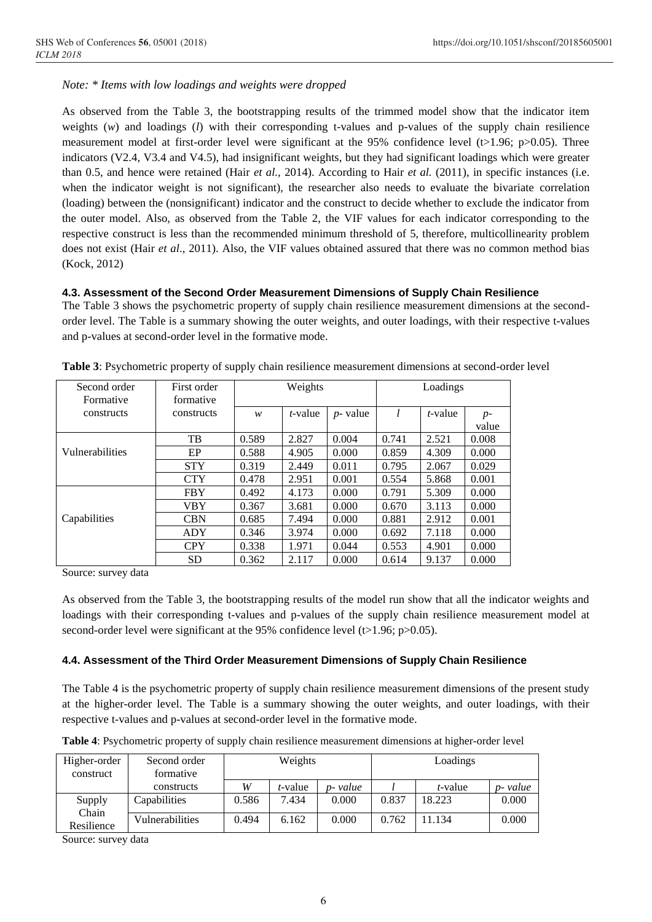*Note: \* Items with low loadings and weights were dropped*

As observed from the Table 3, the bootstrapping results of the trimmed model show that the indicator item weights (*w*) and loadings (*l*) with their corresponding t-values and p-values of the supply chain resilience measurement model at first-order level were significant at the 95% confidence level ( $t>1.96$ ;  $p>0.05$ ). Three indicators (V2.4, V3.4 and V4.5), had insignificant weights, but they had significant loadings which were greater than 0.5, and hence were retained (Hair *et al.,* 2014). According to Hair *et al.* (2011), in specific instances (i.e. when the indicator weight is not significant), the researcher also needs to evaluate the bivariate correlation (loading) between the (nonsignificant) indicator and the construct to decide whether to exclude the indicator from the outer model. Also, as observed from the Table 2, the VIF values for each indicator corresponding to the respective construct is less than the recommended minimum threshold of 5, therefore, multicollinearity problem does not exist (Hair *et al*., 2011). Also, the VIF values obtained assured that there was no common method bias (Kock, 2012)

#### **4.3. Assessment of the Second Order Measurement Dimensions of Supply Chain Resilience**

The Table 3 shows the psychometric property of supply chain resilience measurement dimensions at the secondorder level. The Table is a summary showing the outer weights, and outer loadings, with their respective t-values and p-values at second-order level in the formative mode.

| Second order<br>Formative | First order<br>formative | Weights |            |             | Loadings |         |       |
|---------------------------|--------------------------|---------|------------|-------------|----------|---------|-------|
| constructs                | constructs               | w       | $t$ -value | $p$ - value | l        | t-value | $p-$  |
|                           |                          |         |            |             |          |         | value |
|                           | TB                       | 0.589   | 2.827      | 0.004       | 0.741    | 2.521   | 0.008 |
| <b>Vulnerabilities</b>    | EP                       | 0.588   | 4.905      | 0.000       | 0.859    | 4.309   | 0.000 |
|                           | <b>STY</b>               | 0.319   | 2.449      | 0.011       | 0.795    | 2.067   | 0.029 |
|                           | <b>CTY</b>               | 0.478   | 2.951      | 0.001       | 0.554    | 5.868   | 0.001 |
|                           | <b>FBY</b>               | 0.492   | 4.173      | 0.000       | 0.791    | 5.309   | 0.000 |
|                           | <b>VBY</b>               | 0.367   | 3.681      | 0.000       | 0.670    | 3.113   | 0.000 |
| Capabilities              | <b>CBN</b>               | 0.685   | 7.494      | 0.000       | 0.881    | 2.912   | 0.001 |
|                           | ADY                      | 0.346   | 3.974      | 0.000       | 0.692    | 7.118   | 0.000 |
|                           | <b>CPY</b>               | 0.338   | 1.971      | 0.044       | 0.553    | 4.901   | 0.000 |
|                           | <b>SD</b>                | 0.362   | 2.117      | 0.000       | 0.614    | 9.137   | 0.000 |

**Table 3**: Psychometric property of supply chain resilience measurement dimensions at second-order level

Source: survey data

As observed from the Table 3, the bootstrapping results of the model run show that all the indicator weights and loadings with their corresponding t-values and p-values of the supply chain resilience measurement model at second-order level were significant at the 95% confidence level ( $t > 1.96$ ;  $p > 0.05$ ).

#### **4.4. Assessment of the Third Order Measurement Dimensions of Supply Chain Resilience**

The Table 4 is the psychometric property of supply chain resilience measurement dimensions of the present study at the higher-order level. The Table is a summary showing the outer weights, and outer loadings, with their respective t-values and p-values at second-order level in the formative mode.

|  |  | Table 4: Psychometric property of supply chain resilience measurement dimensions at higher-order level |  |  |
|--|--|--------------------------------------------------------------------------------------------------------|--|--|
|  |  |                                                                                                        |  |  |

| Higher-order<br>construct | Second order<br>formative | Weights |         |          | Loadings |                 |          |
|---------------------------|---------------------------|---------|---------|----------|----------|-----------------|----------|
|                           | constructs                | W       | t-value | p- value |          | <i>t</i> -value | p- value |
| Supply                    | Capabilities              | 0.586   | 7.434   | 0.000    | 0.837    | 18.223          | 0.000    |
| Chain<br>Resilience       | Vulnerabilities           | 0.494   | 6.162   | 0.000    | 0.762    | 1.134           | 0.000    |

Source: survey data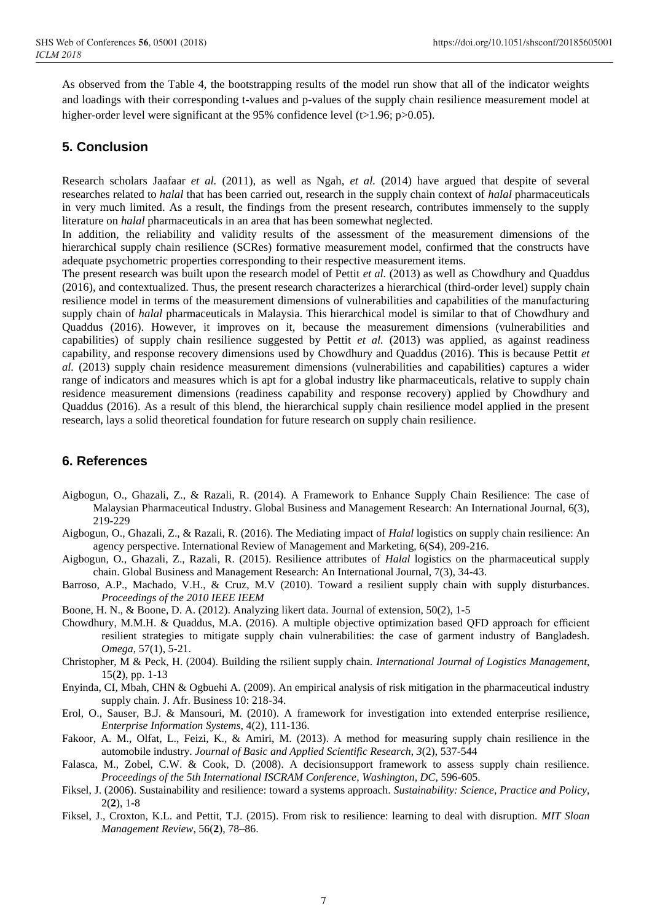As observed from the Table 4, the bootstrapping results of the model run show that all of the indicator weights and loadings with their corresponding t-values and p-values of the supply chain resilience measurement model at higher-order level were significant at the 95% confidence level (t $>1.96$ ; p $>0.05$ ).

## **5. Conclusion**

Research scholars Jaafaar *et al.* (2011), as well as Ngah, *et al.* (2014) have argued that despite of several researches related to *halal* that has been carried out, research in the supply chain context of *halal* pharmaceuticals in very much limited. As a result, the findings from the present research, contributes immensely to the supply literature on *halal* pharmaceuticals in an area that has been somewhat neglected.

In addition, the reliability and validity results of the assessment of the measurement dimensions of the hierarchical supply chain resilience (SCRes) formative measurement model, confirmed that the constructs have adequate psychometric properties corresponding to their respective measurement items.

The present research was built upon the research model of Pettit *et al.* (2013) as well as Chowdhury and Quaddus (2016), and contextualized. Thus, the present research characterizes a hierarchical (third-order level) supply chain resilience model in terms of the measurement dimensions of vulnerabilities and capabilities of the manufacturing supply chain of *halal* pharmaceuticals in Malaysia. This hierarchical model is similar to that of Chowdhury and Quaddus (2016). However, it improves on it, because the measurement dimensions (vulnerabilities and capabilities) of supply chain resilience suggested by Pettit *et al.* (2013) was applied, as against readiness capability, and response recovery dimensions used by Chowdhury and Quaddus (2016). This is because Pettit *et al.* (2013) supply chain residence measurement dimensions (vulnerabilities and capabilities) captures a wider range of indicators and measures which is apt for a global industry like pharmaceuticals, relative to supply chain residence measurement dimensions (readiness capability and response recovery) applied by Chowdhury and Quaddus (2016). As a result of this blend, the hierarchical supply chain resilience model applied in the present research, lays a solid theoretical foundation for future research on supply chain resilience.

## **6. References**

- Aigbogun, O., Ghazali, Z., & Razali, R. (2014). A Framework to Enhance Supply Chain Resilience: The case of Malaysian Pharmaceutical Industry. Global Business and Management Research: An International Journal, 6(3), 219-229
- Aigbogun, O., Ghazali, Z., & Razali, R. (2016). The Mediating impact of *Halal* logistics on supply chain resilience: An agency perspective. International Review of Management and Marketing, 6(S4), 209-216.
- Aigbogun, O., Ghazali, Z., Razali, R. (2015). Resilience attributes of *Halal* logistics on the pharmaceutical supply chain. Global Business and Management Research: An International Journal, 7(3), 34-43.

Barroso, A.P., Machado, V.H., & Cruz, M.V (2010). Toward a resilient supply chain with supply disturbances. *Proceedings of the 2010 IEEE IEEM*

- Boone, H. N., & Boone, D. A. (2012). Analyzing likert data. Journal of extension, 50(2), 1-5
- Chowdhury, M.M.H. & Quaddus, M.A. (2016). A multiple objective optimization based QFD approach for efficient resilient strategies to mitigate supply chain vulnerabilities: the case of garment industry of Bangladesh. *Omega*, 57(1), 5-21.
- Christopher, M & Peck, H. (2004). Building the rsilient supply chain. *International Journal of Logistics Management*, 15(**2**), pp. 1-13
- Enyinda, CI, Mbah, CHN & Ogbuehi A. (2009). An empirical analysis of risk mitigation in the pharmaceutical industry supply chain. J. Afr. Business 10: 218-34.
- Erol, O., Sauser, B.J. & Mansouri, M. (2010). A framework for investigation into extended enterprise resilience, *Enterprise Information Systems*, 4(2), 111-136.
- Fakoor, A. M., Olfat, L., Feizi, K., & Amiri, M. (2013). A method for measuring supply chain resilience in the automobile industry. *Journal of Basic and Applied Scientific Research*, *3*(2), 537-544
- Falasca, M., Zobel, C.W. & Cook, D. (2008). A decisionsupport framework to assess supply chain resilience. *Proceedings of the 5th International ISCRAM Conference*, *Washington, DC*, 596-605.
- Fiksel, J. (2006). Sustainability and resilience: toward a systems approach. *Sustainability: Science, Practice and Policy*, 2(**2**), 1-8
- Fiksel, J., Croxton, K.L. and Pettit, T.J. (2015). From risk to resilience: learning to deal with disruption. *MIT Sloan Management Review*, 56(**2**), 78–86.